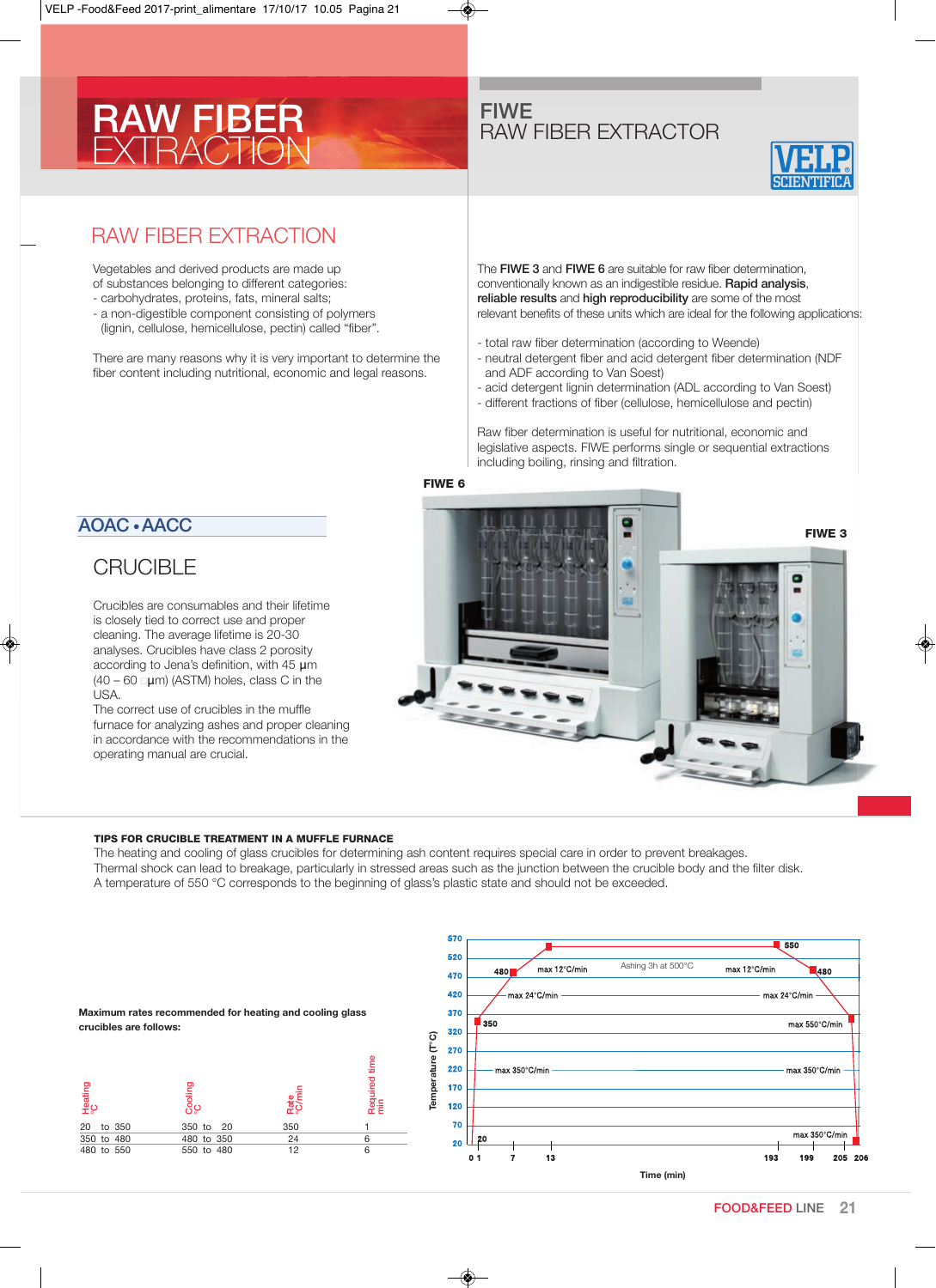# RAW FIBER EXTRACTION

### FIWE RAw FIBER EXTRACTOR



## RAw FIBER EXTRACTION

Vegetables and derived products are made up of substances belonging to different categories:

- carbohydrates, proteins, fats, mineral salts;
- a non-digestible component consisting of polymers (lignin, cellulose, hemicellulose, pectin) called "fiber".

There are many reasons why it is very important to determine the fiber content including nutritional, economic and legal reasons.

The FIWE 3 and FIWE 6 are suitable for raw fiber determination, conventionally known as an indigestible residue. Rapid analysis, reliable results and high reproducibility are some of the most relevant benefits of these units which are ideal for the following applications:

- total raw fiber determination (according to weende)
- neutral detergent fiber and acid detergent fiber determination (NDF and ADF according to Van Soest)
- acid detergent lignin determination (ADL according to Van Soest)
- different fractions of fiber (cellulose, hemicellulose and pectin)

Raw fiber determination is useful for nutritional, economic and legislative aspects. FIwE performs single or sequential extractions including boiling, rinsing and filtration.



#### **TIPS FOR CRUCIBLE TREATMENT IN A MUFFLE FURNACE**

The heating and cooling of glass crucibles for determining ash content requires special care in order to prevent breakages. Thermal shock can lead to breakage, particularly in stressed areas such as the junction between the crucible body and the filter disk. A temperature of 550 °C corresponds to the beginning of glass's plastic state and should not be exceeded.



## AOAC •AACC



Crucibles are consumables and their lifetime is closely tied to correct use and proper cleaning. The average lifetime is 20-30 analyses. Crucibles have class 2 porosity according to Jena's definition, with 45 μm  $(40 - 60$  [ $\mu$ m) (ASTM) holes, class C in the USA.

The correct use of crucibles in the muffle furnace for analyzing ashes and proper cleaning in accordance with the recommendations in the operating manual are crucial.

## **FIWE 6**